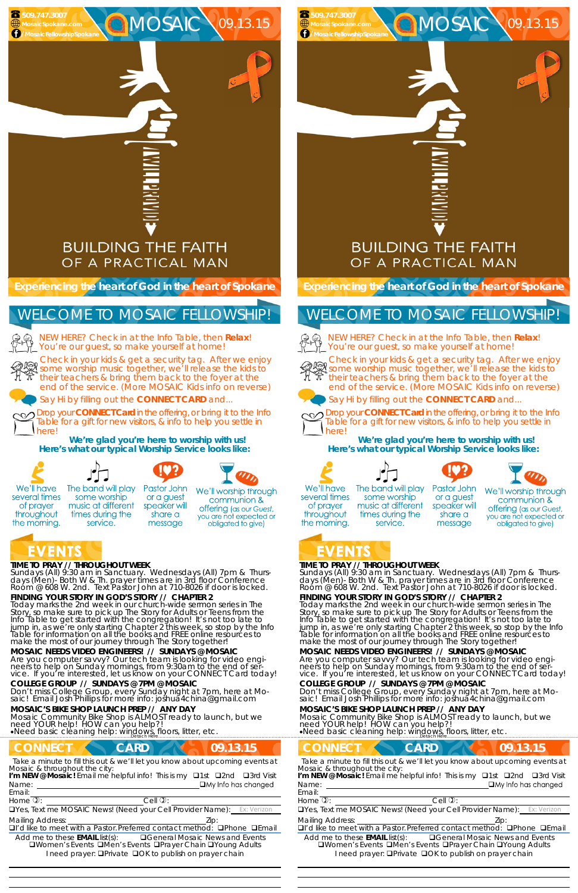

MOSAIC 09.13.15

#### **TIME TO PRAY // THROUGHOUT WEEK**

*Sundays* (All) 9:30 am in Sanctuary. *Wednesdays* (All) 7pm & *Thursdays* (Men)- Both W & Th. prayer times are in 3rd floor Conference<br>Room @ 608 W. 2nd. Text Pastor John at 710-8026 if door is locked.

**FINDING YOUR STORY IN GOD'S STORY // CHAPTER 2** 

service.

Are you computer savvy? Our tech team is looking for video engineers to help on Sunday mornings, from 9:30am to the end of service. If you're interested, let us know on your CONNECT Card today!

Today marks the 2nd week in our church-wide sermon series in The Story, so make sure to pick up The Story for Adults or Teens from the Info Table to get started with the congregation! It's not too late to jump in, as we're only starting Chapter 2 this week, so stop by the Info Table for information on all the books and FREE online resources to make the most of our journey through The Story together!

**MOSAIC NEEDS VIDEO ENGINEERS! // SUNDAYS @ MOSAIC** 



NEW HERE? Check in at the Info Table, then **Relax**! You're our guest, so make yourself at home!

#### **COLLEGE GROUP // SUNDAYS @ 7PM @ MOSAIC**

Don't miss College Group, every Sunday night at 7pm, here at Mo- saic! Email Josh Phillips for more info: joshua4china@gmail.com

#### **MOSAIC'S BIKE SHOP LAUNCH PREP // ANY DAY**

Mosaic Community Bike Shop is ALMOST ready to launch, but we need YOUR help! HOW can you help?! Need basic cleaning help: windows, floors, litter, etc. ……………………….……………………………………………………….Detach Here……………………………………………..…………………………………

## **CONNECT CARD CARD 09.13.15**

*Sundays* (All) 9:30 am in Sanctuary. *Wednesdays* (All) 7pm & *Thursdays* (Men)- Both W & Th. prayer times are in 3rd floor Conference<br>Room @ 608 W. 2nd. Text Pastor John at 710-8026 if door is locked.

**Experiencing the heart of God in the heart of Spokane** 

Check in your kids & get a security tag. After we enjoy Streek in your kids a get a security tag. After we enjoy<br>We some worship music together, we'll release the kids to their teachers & bring them back to the foyer at the end of the service. (More MOSAIC Kids info on reverse)

Say Hi by filling out the **CONNECT CARD** and...

Drop your **CONNECT Card** in the offering, or bring it to the Info Table for a gift for new visitors, & info to help you settle in here!

**We're glad you're here to worship with us! Here's what our typical Worship Service looks like:** 



several times

of prayer

throughout

the morning.



Pastor John The band will play or a guest

some worship music at different speaker will times during the share a message

We'll worship through communion & **offering** (as our Guest, you are not expected or obligated to give)

## VENTS

 **509.747.3007 MosaicSpokane.com /MosaicFellowshipSpokane**

> NEW HERE? Check in at the Info Table, then **Relax**! You're our guest, so make yourself at home!



## WELCOME TO MOSAIC FELLOWSHIP!



Email:

Drop your **CONNECT Card** in the offering, or bring it to the Info Table for a gift for new visitors, & info to help you settle in herel

*Take a minute to fill this out & we'll let you know about upcoming events at Mosaic & throughout the city:* 

Name:  $\square$  My Info has changed **I'm NEW @ Mosaic!** Email me helpful info! This is my  $\Box$ 1st  $\Box$ 2nd  $\Box$ 3rd Visit

 

Home  $\mathbb{D}$ :  $\qquad \qquad$  Cell  $\mathbb{D}$ :

UYes, Text me MOSAIC News! (Need your Cell Provider Name):

Mailing Address: The Mailing Address: The Mailing Address: The Mail of the Mail of the Mail of the Mail of the Mail of the Mail of the Mail of the Mail of the Mail of the Mail of the Mail of the Mail of the Mail of the Mai □I'd like to meet with a Pastor. Preferred contact method: □Phone □Email

Add me to these **EMAIL** list(s): General Mosaic News and Events **QWomen's Events QMen's Events QPrayer Chain QYoung Adults** I need prayer: **QPrivate QOK to publish on prayer chain** 

### **TIME TO PRAY // THROUGHOUT WEEK**

**FINDING YOUR STORY IN GOD'S STORY // CHAPTER 2**  Today marks the 2nd week in our church-wide sermon series in The Story, so make sure to pick up The Story for Adults or Teens from the Info Table to get started with the congregation! It's not too late to jump in, as we're only starting Chapter 2 this week, so stop by the Info Table for information on all the books and FREE online resources to make the most of our journey through The Story together!

**MOSAIC NEEDS VIDEO ENGINEERS! // SUNDAYS @ MOSAIC**  Are you computer savvy? Our tech team is looking for video engineers to help on Sunday mornings, from 9:30am to the end of service. If you're interested, let us know on your CONNECT Card today!

### **COLLEGE GROUP // SUNDAYS @ 7PM @ MOSAIC**

Don't miss College Group, every Sunday night at 7pm, here at Mo- saic! Email Josh Phillips for more info: joshua4china@gmail.com

#### **MOSAIC'S BIKE SHOP LAUNCH PREP // ANY DAY**

Mosaic Community Bike Shop is ALMOST ready to launch, but we need YOUR help! HOW can you help?! Need basic cleaning help: windows, floors, litter, etc. ……………………….……………………………………………………….Detach Here……………………………………………..…………………………………

**CONNECT CARD CARD 09.13.15** *Take a minute to fill this out & we'll let you know about upcoming events at* Name: *Mosaic & throughout the city:*  **I'm NEW @ Mosaic!** Email me helpful info! This is my  $\Box$ 1st  $\Box$ 2nd  $\Box$ 3rd Visit

**Experiencing the heart of God in the heart of Spokane** 

MOSAIC \09.13.15

Check in your kids & get a security tag. After we enjoy some worship music together, we'll release the kids to their teachers is bring that if the case the kids to their teachers & bring them back to the foyer at the end of the service. (More MOSAIC Kids info on reverse)



Say Hi by filling out the **CONNECT CARD** and...



**We're glad you're here to worship with us! Here's what our typical Worship Service looks like:** 









We'll have several times of prayer throughout the morning.

The band will play some worship music at different times during the service.

Pastor John or a guest speaker will share a message

We'll worship through communion & offering (as our Guest, you are not expected or obligated to give)

# ZENIS

 **509.747.3007 MosaicSpokane.com /MosaicFellowshipSpokane**

# WELCOME TO MOSAIC FELLOWSHIP!



#### Email:

Home  $\mathbb{D}$ :  $\qquad \qquad$  Cell  $\mathbb{D}$ :

UYes, Text me MOSAIC News! (Need your Cell Provider Name):

Mailing Address:  $Zip$ :

 

 $\Box$ I'd like to meet with a Pastor. Preferred contact method:  $\Box$ Phone  $\Box$ Email

Add me to these **EMAIL** list(s): General Mosaic News and Events **QWomen's Events QMen's Events QPrayer Chain QYoung Adults** I need prayer: **QPrivate QOK to publish on prayer chain**